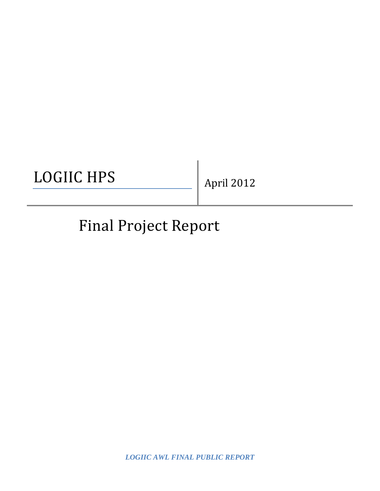# LOGIIC HPS | April 2012

## Final Project Report

*LOGIIC AWL FINAL PUBLIC REPORT*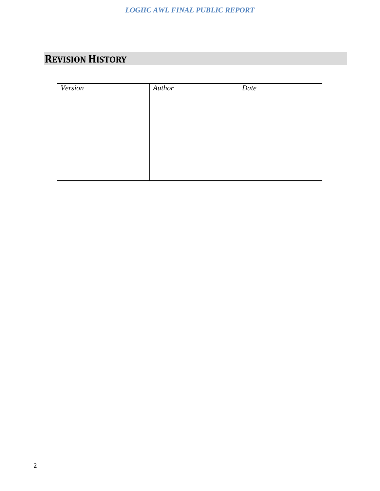## <span id="page-1-0"></span>**REVISION HISTORY**

| Version | Author | Date |
|---------|--------|------|
|         |        |      |
|         |        |      |
|         |        |      |
|         |        |      |
|         |        |      |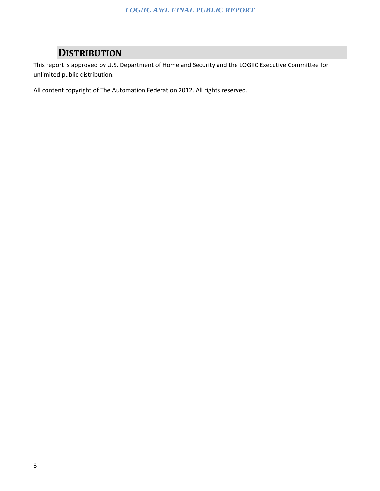## **DISTRIBUTION**

<span id="page-2-0"></span>This report is approved by U.S. Department of Homeland Security and the LOGIIC Executive Committee for unlimited public distribution.

All content copyright of The Automation Federation 2012. All rights reserved.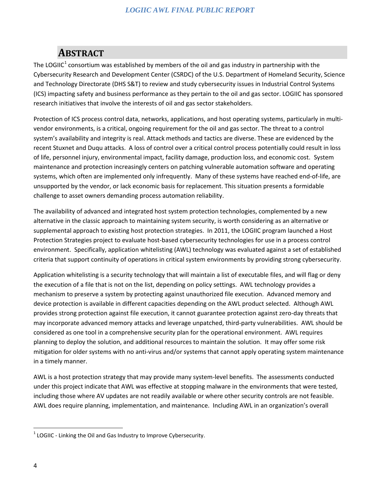## **ABSTRACT**

<span id="page-3-1"></span>The LOGIIC<sup>[1](#page-3-0)</sup> consortium was established by members of the oil and gas industry in partnership with the Cybersecurity Research and Development Center (CSRDC) of the U.S. Department of Homeland Security, Science and Technology Directorate (DHS S&T) to review and study cybersecurity issues in Industrial Control Systems (ICS) impacting safety and business performance as they pertain to the oil and gas sector. LOGIIC has sponsored research initiatives that involve the interests of oil and gas sector stakeholders.

Protection of ICS process control data, networks, applications, and host operating systems, particularly in multivendor environments, is a critical, ongoing requirement for the oil and gas sector. The threat to a control system's availability and integrity is real. Attack methods and tactics are diverse. These are evidenced by the recent Stuxnet and Duqu attacks. A loss of control over a critical control process potentially could result in loss of life, personnel injury, environmental impact, facility damage, production loss, and economic cost. System maintenance and protection increasingly centers on patching vulnerable automation software and operating systems, which often are implemented only infrequently. Many of these systems have reached end-of-life, are unsupported by the vendor, or lack economic basis for replacement. This situation presents a formidable challenge to asset owners demanding process automation reliability.

The availability of advanced and integrated host system protection technologies, complemented by a new alternative in the classic approach to maintaining system security, is worth considering as an alternative or supplemental approach to existing host protection strategies. In 2011, the LOGIIC program launched a Host Protection Strategies project to evaluate host-based cybersecurity technologies for use in a process control environment. Specifically, application whitelisting (AWL) technology was evaluated against a set of established criteria that support continuity of operations in critical system environments by providing strong cybersecurity.

Application whitelisting is a security technology that will maintain a list of executable files, and will flag or deny the execution of a file that is not on the list, depending on policy settings. AWL technology provides a mechanism to preserve a system by protecting against unauthorized file execution. Advanced memory and device protection is available in different capacities depending on the AWL product selected. Although AWL provides strong protection against file execution, it cannot guarantee protection against zero-day threats that may incorporate advanced memory attacks and leverage unpatched, third-party vulnerabilities. AWL should be considered as one tool in a comprehensive security plan for the operational environment. AWL requires planning to deploy the solution, and additional resources to maintain the solution. It may offer some risk mitigation for older systems with no anti-virus and/or systems that cannot apply operating system maintenance in a timely manner.

AWL is a host protection strategy that may provide many system-level benefits. The assessments conducted under this project indicate that AWL was effective at stopping malware in the environments that were tested, including those where AV updates are not readily available or where other security controls are not feasible. AWL does require planning, implementation, and maintenance. Including AWL in an organization's overall

<span id="page-3-0"></span> $1$  LOGIIC - Linking the Oil and Gas Industry to Improve Cybersecurity.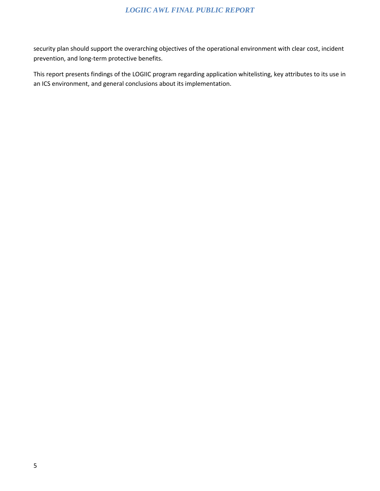security plan should support the overarching objectives of the operational environment with clear cost, incident prevention, and long-term protective benefits.

This report presents findings of the LOGIIC program regarding application whitelisting, key attributes to its use in an ICS environment, and general conclusions about its implementation.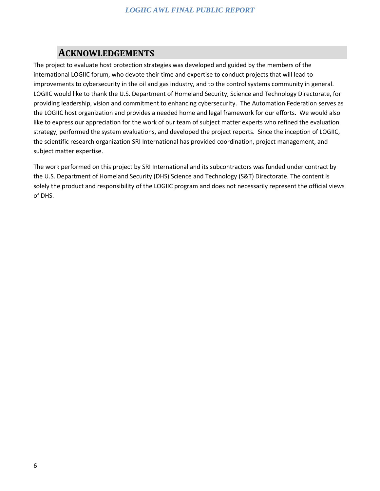## **ACKNOWLEDGEMENTS**

<span id="page-5-0"></span>The project to evaluate host protection strategies was developed and guided by the members of the international LOGIIC forum, who devote their time and expertise to conduct projects that will lead to improvements to cybersecurity in the oil and gas industry, and to the control systems community in general. LOGIIC would like to thank the U.S. Department of Homeland Security, Science and Technology Directorate, for providing leadership, vision and commitment to enhancing cybersecurity. The Automation Federation serves as the LOGIIC host organization and provides a needed home and legal framework for our efforts. We would also like to express our appreciation for the work of our team of subject matter experts who refined the evaluation strategy, performed the system evaluations, and developed the project reports. Since the inception of LOGIIC, the scientific research organization SRI International has provided coordination, project management, and subject matter expertise.

The work performed on this project by SRI International and its subcontractors was funded under contract by the U.S. Department of Homeland Security (DHS) Science and Technology (S&T) Directorate. The content is solely the product and responsibility of the LOGIIC program and does not necessarily represent the official views of DHS.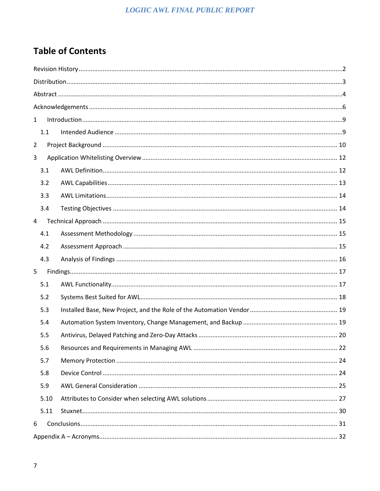## **Table of Contents**

| $\mathbf{1}$   |      |  |
|----------------|------|--|
|                | 1.1  |  |
| $\overline{2}$ |      |  |
| 3              |      |  |
|                | 3.1  |  |
|                | 3.2  |  |
|                | 3.3  |  |
|                | 3.4  |  |
| 4              |      |  |
|                | 4.1  |  |
|                | 4.2  |  |
|                | 4.3  |  |
| 5              |      |  |
|                | 5.1  |  |
|                | 5.2  |  |
|                | 5.3  |  |
|                | 5.4  |  |
|                | 5.5  |  |
|                | 5.6  |  |
|                | 5.7  |  |
|                | 5.8  |  |
|                | 5.9  |  |
|                | 5.10 |  |
|                | 5.11 |  |
| 6              |      |  |
|                |      |  |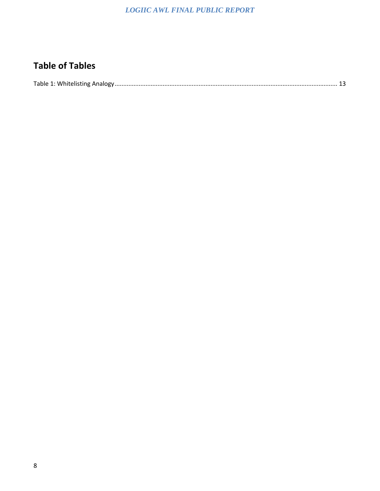## **Table of Tables**

|--|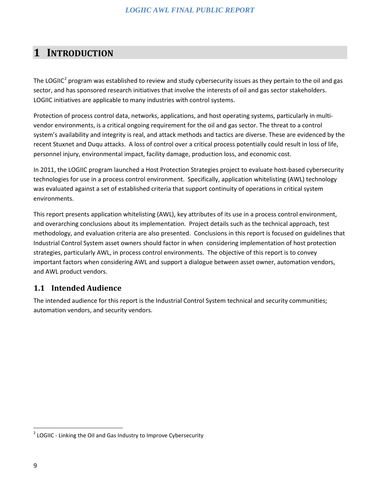## <span id="page-8-0"></span>**1 INTRODUCTION**

The LOGIIC<sup>[2](#page-8-2)</sup> program was established to review and study cybersecurity issues as they pertain to the oil and gas sector, and has sponsored research initiatives that involve the interests of oil and gas sector stakeholders. LOGIIC initiatives are applicable to many industries with control systems.

Protection of process control data, networks, applications, and host operating systems, particularly in multivendor environments, is a critical ongoing requirement for the oil and gas sector. The threat to a control system's availability and integrity is real, and attack methods and tactics are diverse. These are evidenced by the recent Stuxnet and Duqu attacks. A loss of control over a critical process potentially could result in loss of life, personnel injury, environmental impact, facility damage, production loss, and economic cost.

In 2011, the LOGIIC program launched a Host Protection Strategies project to evaluate host-based cybersecurity technologies for use in a process control environment. Specifically, application whitelisting (AWL) technology was evaluated against a set of established criteria that support continuity of operations in critical system environments.

This report presents application whitelisting (AWL), key attributes of its use in a process control environment, and overarching conclusions about its implementation. Project details such as the technical approach, test methodology, and evaluation criteria are also presented. Conclusions in this report is focused on guidelines that Industrial Control System asset owners should factor in when considering implementation of host protection strategies, particularly AWL, in process control environments. The objective of this report is to convey important factors when considering AWL and support a dialogue between asset owner, automation vendors, and AWL product vendors.

#### <span id="page-8-1"></span>**1.1 Intended Audience**

The intended audience for this report is the Industrial Control System technical and security communities; automation vendors, and security vendors.

<span id="page-8-2"></span><sup>&</sup>lt;sup>2</sup> LOGIIC - Linking the Oil and Gas Industry to Improve Cybersecurity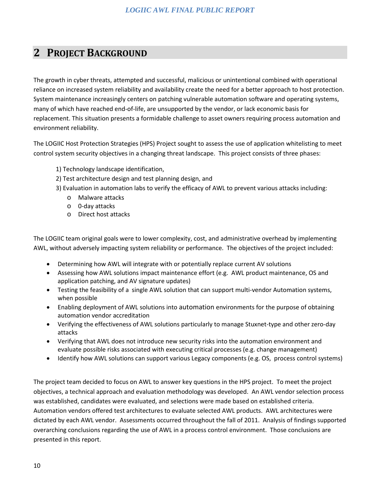## <span id="page-9-0"></span>**2 PROJECT BACKGROUND**

The growth in cyber threats, attempted and successful, malicious or unintentional combined with operational reliance on increased system reliability and availability create the need for a better approach to host protection. System maintenance increasingly centers on patching vulnerable automation software and operating systems, many of which have reached end-of-life, are unsupported by the vendor, or lack economic basis for replacement. This situation presents a formidable challenge to asset owners requiring process automation and environment reliability.

The LOGIIC Host Protection Strategies (HPS) Project sought to assess the use of application whitelisting to meet control system security objectives in a changing threat landscape. This project consists of three phases:

- 1) Technology landscape identification,
- 2) Test architecture design and test planning design, and
- 3) Evaluation in automation labs to verify the efficacy of AWL to prevent various attacks including:
	- o Malware attacks
	- o 0-day attacks
	- o Direct host attacks

The LOGIIC team original goals were to lower complexity, cost, and administrative overhead by implementing AWL, without adversely impacting system reliability or performance. The objectives of the project included:

- Determining how AWL will integrate with or potentially replace current AV solutions
- Assessing how AWL solutions impact maintenance effort (e.g. AWL product maintenance, OS and application patching, and AV signature updates)
- Testing the feasibility of a single AWL solution that can support multi-vendor Automation systems, when possible
- Enabling deployment of AWL solutions into automation environments for the purpose of obtaining automation vendor accreditation
- Verifying the effectiveness of AWL solutions particularly to manage Stuxnet-type and other zero-day attacks
- Verifying that AWL does not introduce new security risks into the automation environment and evaluate possible risks associated with executing critical processes (e.g. change management)
- Identify how AWL solutions can support various Legacy components (e.g. OS, process control systems)

The project team decided to focus on AWL to answer key questions in the HPS project. To meet the project objectives, a technical approach and evaluation methodology was developed. An AWL vendor selection process was established, candidates were evaluated, and selections were made based on established criteria. Automation vendors offered test architectures to evaluate selected AWL products. AWL architectures were dictated by each AWL vendor. Assessments occurred throughout the fall of 2011. Analysis of findings supported overarching conclusions regarding the use of AWL in a process control environment. Those conclusions are presented in this report.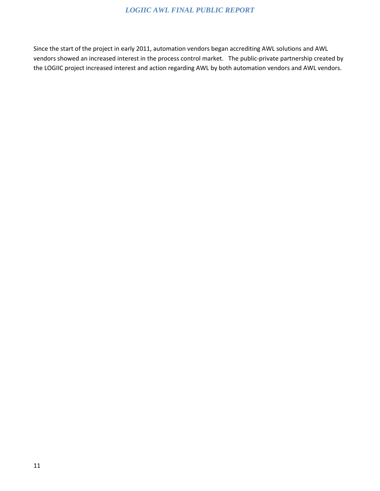Since the start of the project in early 2011, automation vendors began accrediting AWL solutions and AWL vendors showed an increased interest in the process control market. The public-private partnership created by the LOGIIC project increased interest and action regarding AWL by both automation vendors and AWL vendors.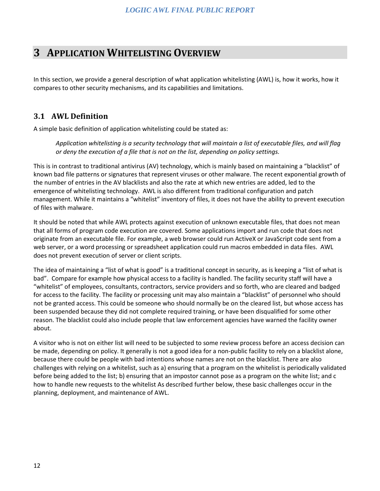### <span id="page-11-0"></span>**3 APPLICATION WHITELISTING OVERVIEW**

In this section, we provide a general description of what application whitelisting (AWL) is, how it works, how it compares to other security mechanisms, and its capabilities and limitations.

#### <span id="page-11-1"></span>**3.1 AWL Definition**

A simple basic definition of application whitelisting could be stated as:

*Application whitelisting is a security technology that will maintain a list of executable files, and will flag or deny the execution of a file that is not on the list, depending on policy settings.*

This is in contrast to traditional antivirus (AV) technology, which is mainly based on maintaining a "blacklist" of known bad file patterns or signatures that represent viruses or other malware. The recent exponential growth of the number of entries in the AV blacklists and also the rate at which new entries are added, led to the emergence of whitelisting technology. AWL is also different from traditional configuration and patch management. While it maintains a "whitelist" inventory of files, it does not have the ability to prevent execution of files with malware.

It should be noted that while AWL protects against execution of unknown executable files, that does not mean that all forms of program code execution are covered. Some applications import and run code that does not originate from an executable file. For example, a web browser could run ActiveX or JavaScript code sent from a web server, or a word processing or spreadsheet application could run macros embedded in data files. AWL does not prevent execution of server or client scripts.

The idea of maintaining a "list of what is good" is a traditional concept in security, as is keeping a "list of what is bad". Compare for example how physical access to a facility is handled. The facility security staff will have a "whitelist" of employees, consultants, contractors, service providers and so forth, who are cleared and badged for access to the facility. The facility or processing unit may also maintain a "blacklist" of personnel who should not be granted access. This could be someone who should normally be on the cleared list, but whose access has been suspended because they did not complete required training, or have been disqualified for some other reason. The blacklist could also include people that law enforcement agencies have warned the facility owner about.

A visitor who is not on either list will need to be subjected to some review process before an access decision can be made, depending on policy. It generally is not a good idea for a non-public facility to rely on a blacklist alone, because there could be people with bad intentions whose names are not on the blacklist. There are also challenges with relying on a whitelist, such as a) ensuring that a program on the whitelist is periodically validated before being added to the list; b) ensuring that an impostor cannot pose as a program on the white list; and c how to handle new requests to the whitelist As described further below, these basic challenges occur in the planning, deployment, and maintenance of AWL.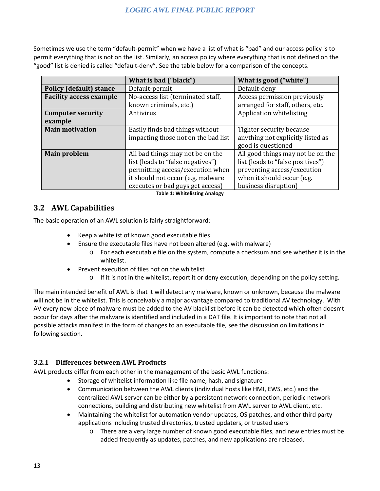Sometimes we use the term "default-permit" when we have a list of what is "bad" and our access policy is to permit everything that is not on the list. Similarly, an access policy where everything that is not defined on the "good" list is denied is called "default-deny". See the table below for a comparison of the concepts.

|                                | What is bad ("black")               | What is good ("white")            |
|--------------------------------|-------------------------------------|-----------------------------------|
| <b>Policy (default) stance</b> | Default-permit                      |                                   |
| <b>Facility access example</b> | No-access list (terminated staff,   | Access permission previously      |
|                                | known criminals, etc.)              | arranged for staff, others, etc.  |
| <b>Computer security</b>       | Antivirus                           | Application whitelisting          |
| example                        |                                     |                                   |
| <b>Main motivation</b>         | Easily finds bad things without     | Tighter security because          |
|                                | impacting those not on the bad list | anything not explicitly listed as |
|                                |                                     | good is questioned                |
| <b>Main problem</b>            | All bad things may not be on the    | All good things may not be on the |
|                                | list (leads to "false negatives")   | list (leads to "false positives") |
|                                | permitting access/execution when    | preventing access/execution       |
|                                | it should not occur (e.g. malware   | when it should occur (e.g.        |
|                                | executes or bad guys get access)    | business disruption)              |

**Table 1: Whitelisting Analogy**

#### <span id="page-12-1"></span><span id="page-12-0"></span>**3.2 AWL Capabilities**

The basic operation of an AWL solution is fairly straightforward:

- Keep a whitelist of known good executable files
- Ensure the executable files have not been altered (e.g. with malware)
	- o For each executable file on the system, compute a checksum and see whether it is in the whitelist.
- Prevent execution of files not on the whitelist
	- $\circ$  If it is not in the whitelist, report it or deny execution, depending on the policy setting.

The main intended benefit of AWL is that it will detect any malware, known or unknown, because the malware will not be in the whitelist. This is conceivably a major advantage compared to traditional AV technology. With AV every new piece of malware must be added to the AV blacklist before it can be detected which often doesn't occur for days after the malware is identified and included in a DAT file. It is important to note that not all possible attacks manifest in the form of changes to an executable file, see the discussion on limitations in following section.

#### **3.2.1 Differences between AWL Products**

AWL products differ from each other in the management of the basic AWL functions:

- Storage of whitelist information like file name, hash, and signature
- Communication between the AWL clients (individual hosts like HMI, EWS, etc.) and the centralized AWL server can be either by a persistent network connection, periodic network connections, building and distributing new whitelist from AWL server to AWL client, etc.
- Maintaining the whitelist for automation vendor updates, OS patches, and other third party applications including trusted directories, trusted updaters, or trusted users
	- o There are a very large number of known good executable files, and new entries must be added frequently as updates, patches, and new applications are released.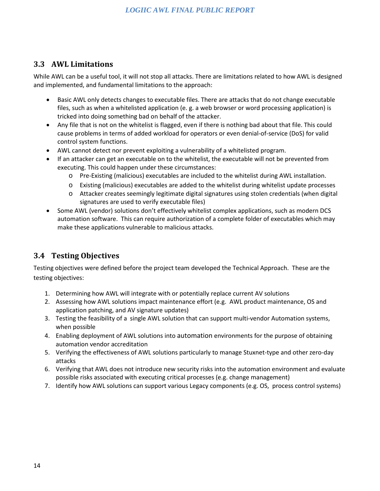#### <span id="page-13-0"></span>**3.3 AWL Limitations**

While AWL can be a useful tool, it will not stop all attacks. There are limitations related to how AWL is designed and implemented, and fundamental limitations to the approach:

- Basic AWL only detects changes to executable files. There are attacks that do not change executable files, such as when a whitelisted application (e. g. a web browser or word processing application) is tricked into doing something bad on behalf of the attacker.
- Any file that is not on the whitelist is flagged, even if there is nothing bad about that file. This could cause problems in terms of added workload for operators or even denial-of-service (DoS) for valid control system functions.
- AWL cannot detect nor prevent exploiting a vulnerability of a whitelisted program.
- If an attacker can get an executable on to the whitelist, the executable will not be prevented from executing. This could happen under these circumstances:
	- o Pre-Existing (malicious) executables are included to the whitelist during AWL installation.
	- o Existing (malicious) executables are added to the whitelist during whitelist update processes
	- o Attacker creates seemingly legitimate digital signatures using stolen credentials (when digital signatures are used to verify executable files)
- Some AWL (vendor) solutions don't effectively whitelist complex applications, such as modern DCS automation software. This can require authorization of a complete folder of executables which may make these applications vulnerable to malicious attacks.

#### <span id="page-13-1"></span>**3.4 Testing Objectives**

Testing objectives were defined before the project team developed the Technical Approach. These are the testing objectives:

- 1. Determining how AWL will integrate with or potentially replace current AV solutions
- 2. Assessing how AWL solutions impact maintenance effort (e.g. AWL product maintenance, OS and application patching, and AV signature updates)
- 3. Testing the feasibility of a single AWL solution that can support multi-vendor Automation systems, when possible
- 4. Enabling deployment of AWL solutions into automation environments for the purpose of obtaining automation vendor accreditation
- 5. Verifying the effectiveness of AWL solutions particularly to manage Stuxnet-type and other zero-day attacks
- 6. Verifying that AWL does not introduce new security risks into the automation environment and evaluate possible risks associated with executing critical processes (e.g. change management)
- 7. Identify how AWL solutions can support various Legacy components (e.g. OS, process control systems)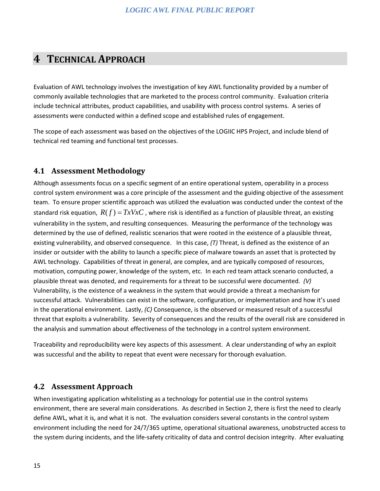## <span id="page-14-0"></span>**4 TECHNICAL APPROACH**

Evaluation of AWL technology involves the investigation of key AWL functionality provided by a number of commonly available technologies that are marketed to the process control community. Evaluation criteria include technical attributes, product capabilities, and usability with process control systems. A series of assessments were conducted within a defined scope and established rules of engagement.

The scope of each assessment was based on the objectives of the LOGIIC HPS Project, and include blend of technical red teaming and functional test processes.

#### <span id="page-14-1"></span>**4.1 Assessment Methodology**

Although assessments focus on a specific segment of an entire operational system, operability in a process control system environment was a core principle of the assessment and the guiding objective of the assessment team. To ensure proper scientific approach was utilized the evaluation was conducted under the context of the standard risk equation,  $R(f) = TxVxC$ , where risk is identified as a function of plausible threat, an existing vulnerability in the system, and resulting consequences. Measuring the performance of the technology was determined by the use of defined, realistic scenarios that were rooted in the existence of a plausible threat, existing vulnerability, and observed consequence. In this case, *(T)* Threat, is defined as the existence of an insider or outsider with the ability to launch a specific piece of malware towards an asset that is protected by AWL technology. Capabilities of threat in general, are complex, and are typically composed of resources, motivation, computing power, knowledge of the system, etc. In each red team attack scenario conducted, a plausible threat was denoted, and requirements for a threat to be successful were documented. *(V)* Vulnerability, is the existence of a weakness in the system that would provide a threat a mechanism for successful attack. Vulnerabilities can exist in the software, configuration, or implementation and how it's used in the operational environment. Lastly, *(C)* Consequence, is the observed or measured result of a successful threat that exploits a vulnerability. Severity of consequences and the results of the overall risk are considered in the analysis and summation about effectiveness of the technology in a control system environment.

Traceability and reproducibility were key aspects of this assessment. A clear understanding of why an exploit was successful and the ability to repeat that event were necessary for thorough evaluation.

#### <span id="page-14-2"></span>**4.2 Assessment Approach**

When investigating application whitelisting as a technology for potential use in the control systems environment, there are several main considerations. As described in Section 2, there is first the need to clearly define AWL, what it is, and what it is not. The evaluation considers several constants in the control system environment including the need for 24/7/365 uptime, operational situational awareness, unobstructed access to the system during incidents, and the life-safety criticality of data and control decision integrity. After evaluating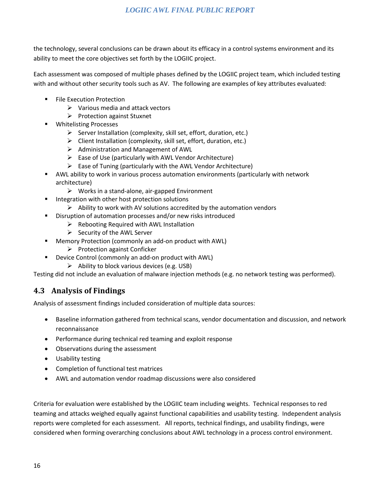the technology, several conclusions can be drawn about its efficacy in a control systems environment and its ability to meet the core objectives set forth by the LOGIIC project.

Each assessment was composed of multiple phases defined by the LOGIIC project team, which included testing with and without other security tools such as AV. The following are examples of key attributes evaluated:

- **File Execution Protection** 
	- $\triangleright$  Various media and attack vectors
	- $\triangleright$  Protection against Stuxnet
- **Whitelisting Processes** 
	- $\triangleright$  Server Installation (complexity, skill set, effort, duration, etc.)
	- $\triangleright$  Client Installation (complexity, skill set, effort, duration, etc.)
	- $\triangleright$  Administration and Management of AWL
	- $\triangleright$  Ease of Use (particularly with AWL Vendor Architecture)
	- $\triangleright$  Ease of Tuning (particularly with the AWL Vendor Architecture)
- AWL ability to work in various process automation environments (particularly with network architecture)
	- $\triangleright$  Works in a stand-alone, air-gapped Environment
- Integration with other host protection solutions
	- $\triangleright$  Ability to work with AV solutions accredited by the automation vendors
- Disruption of automation processes and/or new risks introduced
	- $\triangleright$  Rebooting Required with AWL Installation
	- $\triangleright$  Security of the AWL Server
- Memory Protection (commonly an add-on product with AWL)
	- $\triangleright$  Protection against Conficker
- **Device Control (commonly an add-on product with AWL)** 
	- $\triangleright$  Ability to block various devices (e.g. USB)

Testing did not include an evaluation of malware injection methods (e.g. no network testing was performed).

#### <span id="page-15-0"></span>**4.3 Analysis of Findings**

Analysis of assessment findings included consideration of multiple data sources:

- Baseline information gathered from technical scans, vendor documentation and discussion, and network reconnaissance
- Performance during technical red teaming and exploit response
- Observations during the assessment
- Usability testing
- Completion of functional test matrices
- AWL and automation vendor roadmap discussions were also considered

Criteria for evaluation were established by the LOGIIC team including weights. Technical responses to red teaming and attacks weighed equally against functional capabilities and usability testing. Independent analysis reports were completed for each assessment. All reports, technical findings, and usability findings, were considered when forming overarching conclusions about AWL technology in a process control environment.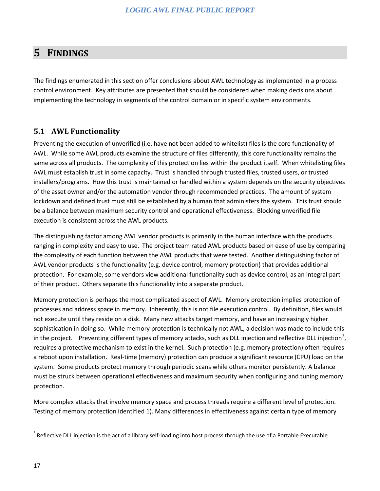## <span id="page-16-0"></span>**5 FINDINGS**

The findings enumerated in this section offer conclusions about AWL technology as implemented in a process control environment. Key attributes are presented that should be considered when making decisions about implementing the technology in segments of the control domain or in specific system environments.

#### <span id="page-16-1"></span>**5.1 AWL Functionality**

Preventing the execution of unverified (i.e. have not been added to whitelist) files is the core functionality of AWL. While some AWL products examine the structure of files differently, this core functionality remains the same across all products. The complexity of this protection lies within the product itself. When whitelisting files AWL must establish trust in some capacity. Trust is handled through trusted files, trusted users, or trusted installers/programs. How this trust is maintained or handled within a system depends on the security objectives of the asset owner and/or the automation vendor through recommended practices. The amount of system lockdown and defined trust must still be established by a human that administers the system. This trust should be a balance between maximum security control and operational effectiveness. Blocking unverified file execution is consistent across the AWL products.

The distinguishing factor among AWL vendor products is primarily in the human interface with the products ranging in complexity and easy to use. The project team rated AWL products based on ease of use by comparing the complexity of each function between the AWL products that were tested. Another distinguishing factor of AWL vendor products is the functionality (e.g. device control, memory protection) that provides additional protection. For example, some vendors view additional functionality such as device control, as an integral part of their product. Others separate this functionality into a separate product.

Memory protection is perhaps the most complicated aspect of AWL. Memory protection implies protection of processes and address space in memory. Inherently, this is not file execution control. By definition, files would not execute until they reside on a disk. Many new attacks target memory, and have an increasingly higher sophistication in doing so. While memory protection is technically not AWL, a decision was made to include this in the project. Preventing different types of memory attacks, such as DLL injection and reflective DLL injection<sup>[3](#page-16-2)</sup>, requires a protective mechanism to exist in the kernel. Such protection (e.g. memory protection) often requires a reboot upon installation. Real-time (memory) protection can produce a significant resource (CPU) load on the system. Some products protect memory through periodic scans while others monitor persistently. A balance must be struck between operational effectiveness and maximum security when configuring and tuning memory protection.

More complex attacks that involve memory space and process threads require a different level of protection. Testing of memory protection identified 1). Many differences in effectiveness against certain type of memory

<span id="page-16-2"></span><sup>&</sup>lt;sup>3</sup> Reflective DLL injection is the act of a library self-loading into host process through the use of a Portable Executable.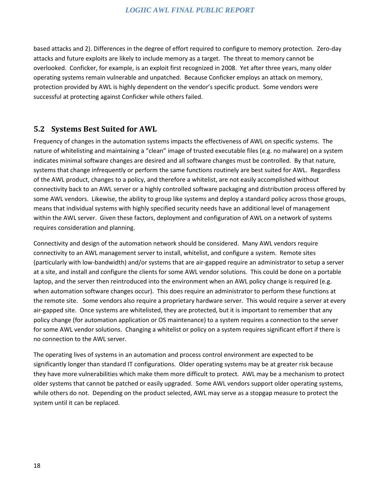based attacks and 2). Differences in the degree of effort required to configure to memory protection. Zero-day attacks and future exploits are likely to include memory as a target. The threat to memory cannot be overlooked. Conficker, for example, is an exploit first recognized in 2008. Yet after three years, many older operating systems remain vulnerable and unpatched. Because Conficker employs an attack on memory, protection provided by AWL is highly dependent on the vendor's specific product. Some vendors were successful at protecting against Conficker while others failed.

#### <span id="page-17-0"></span>**5.2 Systems Best Suited for AWL**

Frequency of changes in the automation systems impacts the effectiveness of AWL on specific systems. The nature of whitelisting and maintaining a "clean" image of trusted executable files (e.g. no malware) on a system indicates minimal software changes are desired and all software changes must be controlled. By that nature, systems that change infrequently or perform the same functions routinely are best suited for AWL. Regardless of the AWL product, changes to a policy, and therefore a whitelist, are not easily accomplished without connectivity back to an AWL server or a highly controlled software packaging and distribution process offered by some AWL vendors. Likewise, the ability to group like systems and deploy a standard policy across those groups, means that individual systems with highly specified security needs have an additional level of management within the AWL server. Given these factors, deployment and configuration of AWL on a network of systems requires consideration and planning.

Connectivity and design of the automation network should be considered. Many AWL vendors require connectivity to an AWL management server to install, whitelist, and configure a system. Remote sites (particularly with low-bandwidth) and/or systems that are air-gapped require an administrator to setup a server at a site, and install and configure the clients for some AWL vendor solutions. This could be done on a portable laptop, and the server then reintroduced into the environment when an AWL policy change is required (e.g. when automation software changes occur). This does require an administrator to perform these functions at the remote site. Some vendors also require a proprietary hardware server. This would require a server at every air-gapped site. Once systems are whitelisted, they are protected, but it is important to remember that any policy change (for automation application or OS maintenance) to a system requires a connection to the server for some AWL vendor solutions. Changing a whitelist or policy on a system requires significant effort if there is no connection to the AWL server.

The operating lives of systems in an automation and process control environment are expected to be significantly longer than standard IT configurations. Older operating systems may be at greater risk because they have more vulnerabilities which make them more difficult to protect. AWL may be a mechanism to protect older systems that cannot be patched or easily upgraded. Some AWL vendors support older operating systems, while others do not. Depending on the product selected, AWL may serve as a stopgap measure to protect the system until it can be replaced.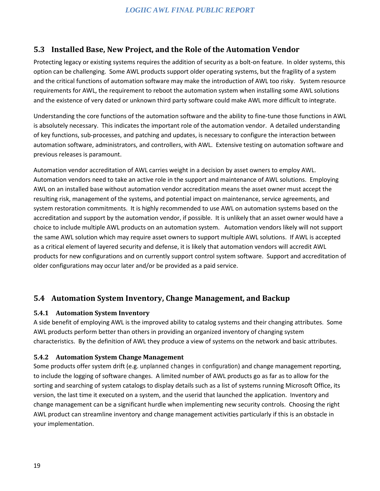#### <span id="page-18-0"></span>**5.3 Installed Base, New Project, and the Role of the Automation Vendor**

Protecting legacy or existing systems requires the addition of security as a bolt-on feature. In older systems, this option can be challenging. Some AWL products support older operating systems, but the fragility of a system and the critical functions of automation software may make the introduction of AWL too risky. System resource requirements for AWL, the requirement to reboot the automation system when installing some AWL solutions and the existence of very dated or unknown third party software could make AWL more difficult to integrate.

Understanding the core functions of the automation software and the ability to fine-tune those functions in AWL is absolutely necessary. This indicates the important role of the automation vendor. A detailed understanding of key functions, sub-processes, and patching and updates, is necessary to configure the interaction between automation software, administrators, and controllers, with AWL. Extensive testing on automation software and previous releases is paramount.

Automation vendor accreditation of AWL carries weight in a decision by asset owners to employ AWL. Automation vendors need to take an active role in the support and maintenance of AWL solutions. Employing AWL on an installed base without automation vendor accreditation means the asset owner must accept the resulting risk, management of the systems, and potential impact on maintenance, service agreements, and system restoration commitments. It is highly recommended to use AWL on automation systems based on the accreditation and support by the automation vendor, if possible. It is unlikely that an asset owner would have a choice to include multiple AWL products on an automation system. Automation vendors likely will not support the same AWL solution which may require asset owners to support multiple AWL solutions. If AWL is accepted as a critical element of layered security and defense, it is likely that automation vendors will accredit AWL products for new configurations and on currently support control system software. Support and accreditation of older configurations may occur later and/or be provided as a paid service.

#### <span id="page-18-1"></span>**5.4 Automation System Inventory, Change Management, and Backup**

#### **5.4.1 Automation System Inventory**

A side benefit of employing AWL is the improved ability to catalog systems and their changing attributes. Some AWL products perform better than others in providing an organized inventory of changing system characteristics. By the definition of AWL they produce a view of systems on the network and basic attributes.

#### **5.4.2 Automation System Change Management**

Some products offer system drift (e.g. unplanned changes in configuration) and change management reporting, to include the logging of software changes. A limited number of AWL products go as far as to allow for the sorting and searching of system catalogs to display details such as a list of systems running Microsoft Office, its version, the last time it executed on a system, and the userid that launched the application. Inventory and change management can be a significant hurdle when implementing new security controls. Choosing the right AWL product can streamline inventory and change management activities particularly if this is an obstacle in your implementation.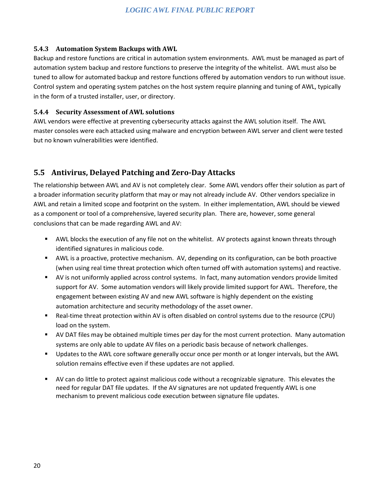#### **5.4.3 Automation System Backups with AWL**

Backup and restore functions are critical in automation system environments. AWL must be managed as part of automation system backup and restore functions to preserve the integrity of the whitelist. AWL must also be tuned to allow for automated backup and restore functions offered by automation vendors to run without issue. Control system and operating system patches on the host system require planning and tuning of AWL, typically in the form of a trusted installer, user, or directory.

#### **5.4.4 Security Assessment of AWL solutions**

AWL vendors were effective at preventing cybersecurity attacks against the AWL solution itself. The AWL master consoles were each attacked using malware and encryption between AWL server and client were tested but no known vulnerabilities were identified.

#### <span id="page-19-0"></span>**5.5 Antivirus, Delayed Patching and Zero-Day Attacks**

The relationship between AWL and AV is not completely clear. Some AWL vendors offer their solution as part of a broader information security platform that may or may not already include AV. Other vendors specialize in AWL and retain a limited scope and footprint on the system. In either implementation, AWL should be viewed as a component or tool of a comprehensive, layered security plan. There are, however, some general conclusions that can be made regarding AWL and AV:

- AWL blocks the execution of any file not on the whitelist. AV protects against known threats through identified signatures in malicious code.
- AWL is a proactive, protective mechanism. AV, depending on its configuration, can be both proactive (when using real time threat protection which often turned off with automation systems) and reactive.
- AV is not uniformly applied across control systems. In fact, many automation vendors provide limited support for AV. Some automation vendors will likely provide limited support for AWL. Therefore, the engagement between existing AV and new AWL software is highly dependent on the existing automation architecture and security methodology of the asset owner.
- Real-time threat protection within AV is often disabled on control systems due to the resource (CPU) load on the system.
- AV DAT files may be obtained multiple times per day for the most current protection. Many automation systems are only able to update AV files on a periodic basis because of network challenges.
- **Updates to the AWL core software generally occur once per month or at longer intervals, but the AWL** solution remains effective even if these updates are not applied.
- AV can do little to protect against malicious code without a recognizable signature. This elevates the need for regular DAT file updates. If the AV signatures are not updated frequently AWL is one mechanism to prevent malicious code execution between signature file updates.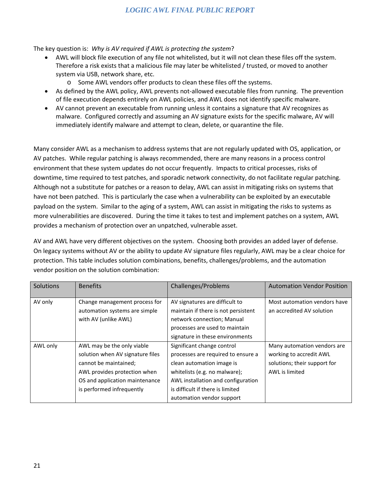The key question is: *Why is AV required if AWL is protecting the system*?

- AWL will block file execution of any file not whitelisted, but it will not clean these files off the system. Therefore a risk exists that a malicious file may later be whitelisted / trusted, or moved to another system via USB, network share, etc.
	- o Some AWL vendors offer products to clean these files off the systems.
- As defined by the AWL policy, AWL prevents not-allowed executable files from running. The prevention of file execution depends entirely on AWL policies, and AWL does not identify specific malware.
- AV cannot prevent an executable from running unless it contains a signature that AV recognizes as malware. Configured correctly and assuming an AV signature exists for the specific malware, AV will immediately identify malware and attempt to clean, delete, or quarantine the file.

Many consider AWL as a mechanism to address systems that are not regularly updated with OS, application, or AV patches. While regular patching is always recommended, there are many reasons in a process control environment that these system updates do not occur frequently. Impacts to critical processes, risks of downtime, time required to test patches, and sporadic network connectivity, do not facilitate regular patching. Although not a substitute for patches or a reason to delay, AWL can assist in mitigating risks on systems that have not been patched. This is particularly the case when a vulnerability can be exploited by an executable payload on the system. Similar to the aging of a system, AWL can assist in mitigating the risks to systems as more vulnerabilities are discovered. During the time it takes to test and implement patches on a system, AWL provides a mechanism of protection over an unpatched, vulnerable asset.

AV and AWL have very different objectives on the system. Choosing both provides an added layer of defense. On legacy systems without AV or the ability to update AV signature files regularly, AWL may be a clear choice for protection. This table includes solution combinations, benefits, challenges/problems, and the automation vendor position on the solution combination:

| Solutions | <b>Benefits</b>                  | Challenges/Problems                 | <b>Automation Vendor Position</b> |
|-----------|----------------------------------|-------------------------------------|-----------------------------------|
| AV only   | Change management process for    | AV signatures are difficult to      | Most automation vendors have      |
|           |                                  |                                     |                                   |
|           | automation systems are simple    | maintain if there is not persistent | an accredited AV solution         |
|           | with AV (unlike AWL)             | network connection; Manual          |                                   |
|           |                                  | processes are used to maintain      |                                   |
|           |                                  | signature in these environments     |                                   |
| AWL only  | AWL may be the only viable       | Significant change control          | Many automation vendors are       |
|           | solution when AV signature files | processes are required to ensure a  | working to accredit AWL           |
|           | cannot be maintained;            | clean automation image is           | solutions; their support for      |
|           | AWL provides protection when     | whitelists (e.g. no malware);       | AWL is limited                    |
|           | OS and application maintenance   | AWL installation and configuration  |                                   |
|           | is performed infrequently        | is difficult if there is limited    |                                   |
|           |                                  | automation vendor support           |                                   |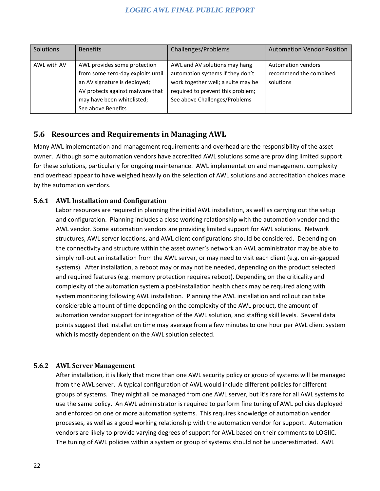| Solutions   | <b>Benefits</b>                                                                                                                                                                           | Challenges/Problems                                                                                                                                                           | <b>Automation Vendor Position</b>                         |
|-------------|-------------------------------------------------------------------------------------------------------------------------------------------------------------------------------------------|-------------------------------------------------------------------------------------------------------------------------------------------------------------------------------|-----------------------------------------------------------|
| AWL with AV | AWL provides some protection<br>from some zero-day exploits until<br>an AV signature is deployed;<br>AV protects against malware that<br>may have been whitelisted;<br>See above Benefits | AWL and AV solutions may hang<br>automation systems if they don't<br>work together well; a suite may be<br>required to prevent this problem;<br>See above Challenges/Problems | Automation vendors<br>recommend the combined<br>solutions |

#### <span id="page-21-0"></span>**5.6 Resources and Requirements in Managing AWL**

Many AWL implementation and management requirements and overhead are the responsibility of the asset owner. Although some automation vendors have accredited AWL solutions some are providing limited support for these solutions, particularly for ongoing maintenance. AWL implementation and management complexity and overhead appear to have weighed heavily on the selection of AWL solutions and accreditation choices made by the automation vendors.

#### **5.6.1 AWL Installation and Configuration**

Labor resources are required in planning the initial AWL installation, as well as carrying out the setup and configuration. Planning includes a close working relationship with the automation vendor and the AWL vendor. Some automation vendors are providing limited support for AWL solutions. Network structures, AWL server locations, and AWL client configurations should be considered. Depending on the connectivity and structure within the asset owner's network an AWL administrator may be able to simply roll-out an installation from the AWL server, or may need to visit each client (e.g. on air-gapped systems). After installation, a reboot may or may not be needed, depending on the product selected and required features (e.g. memory protection requires reboot). Depending on the criticality and complexity of the automation system a post-installation health check may be required along with system monitoring following AWL installation. Planning the AWL installation and rollout can take considerable amount of time depending on the complexity of the AWL product, the amount of automation vendor support for integration of the AWL solution, and staffing skill levels. Several data points suggest that installation time may average from a few minutes to one hour per AWL client system which is mostly dependent on the AWL solution selected.

#### **5.6.2 AWL Server Management**

After installation, it is likely that more than one AWL security policy or group of systems will be managed from the AWL server. A typical configuration of AWL would include different policies for different groups of systems. They might all be managed from one AWL server, but it's rare for all AWL systems to use the same policy. An AWL administrator is required to perform fine tuning of AWL policies deployed and enforced on one or more automation systems. This requires knowledge of automation vendor processes, as well as a good working relationship with the automation vendor for support. Automation vendors are likely to provide varying degrees of support for AWL based on their comments to LOGIIC. The tuning of AWL policies within a system or group of systems should not be underestimated. AWL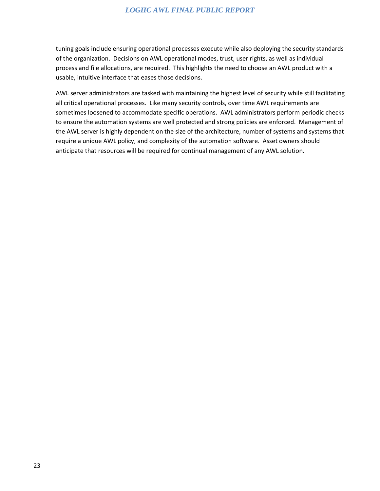tuning goals include ensuring operational processes execute while also deploying the security standards of the organization. Decisions on AWL operational modes, trust, user rights, as well as individual process and file allocations, are required. This highlights the need to choose an AWL product with a usable, intuitive interface that eases those decisions.

AWL server administrators are tasked with maintaining the highest level of security while still facilitating all critical operational processes. Like many security controls, over time AWL requirements are sometimes loosened to accommodate specific operations. AWL administrators perform periodic checks to ensure the automation systems are well protected and strong policies are enforced. Management of the AWL server is highly dependent on the size of the architecture, number of systems and systems that require a unique AWL policy, and complexity of the automation software. Asset owners should anticipate that resources will be required for continual management of any AWL solution.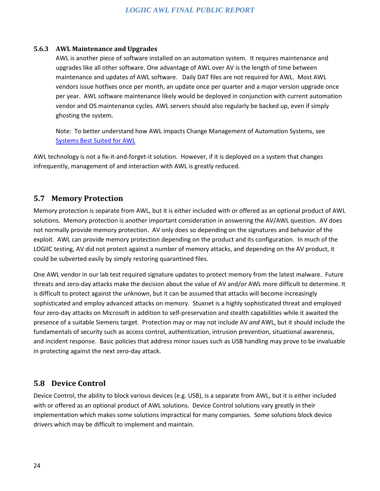#### **5.6.3 AWL Maintenance and Upgrades**

AWL is another piece of software installed on an automation system. It requires maintenance and upgrades like all other software. One advantage of AWL over AV is the length of time between maintenance and updates of AWL software. Daily DAT files are not required for AWL. Most AWL vendors issue hotfixes once per month, an update once per quarter and a major version upgrade once per year. AWL software maintenance likely would be deployed in conjunction with current automation vendor and OS maintenance cycles. AWL servers should also regularly be backed up, even if simply ghosting the system.

Note: To better understand how AWL impacts Change Management of Automation Systems, see [Systems Best Suited for AWL](#page-17-0)

AWL technology is not a fix-it-and-forget-it solution. However, if it is deployed on a system that changes infrequently, management of and interaction with AWL is greatly reduced.

#### <span id="page-23-0"></span>**5.7 Memory Protection**

Memory protection is separate from AWL, but it is either included with or offered as an optional product of AWL solutions. Memory protection is another important consideration in answering the AV/AWL question. AV does not normally provide memory protection. AV only does so depending on the signatures and behavior of the exploit. AWL can provide memory protection depending on the product and its configuration. In much of the LOGIIC testing, AV did not protect against a number of memory attacks, and depending on the AV product, it could be subverted easily by simply restoring quarantined files.

One AWL vendor in our lab test required signature updates to protect memory from the latest malware. Future threats and zero-day attacks make the decision about the value of AV and/or AWL more difficult to determine. It is difficult to protect against the unknown, but it can be assumed that attacks will become increasingly sophisticated and employ advanced attacks on memory. Stuxnet is a highly sophisticated threat and employed four zero-day attacks on Microsoft in addition to self-preservation and stealth capabilities while it awaited the presence of a suitable Siemens target. Protection may or may not include AV *and* AWL, but it should include the fundamentals of security such as access control, authentication, intrusion prevention, situational awareness, and incident response. Basic policies that address minor issues such as USB handling may prove to be invaluable in protecting against the next zero-day attack.

#### <span id="page-23-1"></span>**5.8 Device Control**

Device Control, the ability to block various devices (e.g. USB), is a separate from AWL, but it is either included with or offered as an optional product of AWL solutions. Device Control solutions vary greatly in their implementation which makes some solutions impractical for many companies. Some solutions block device drivers which may be difficult to implement and maintain.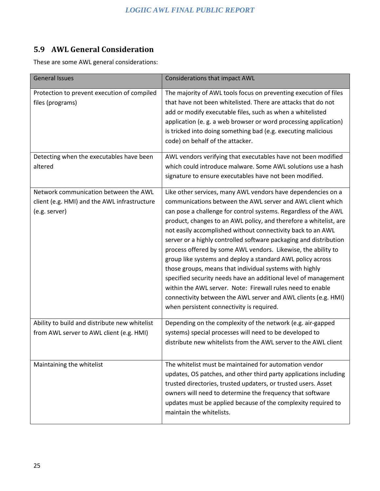#### <span id="page-24-0"></span>**5.9 AWL General Consideration**

These are some AWL general considerations:

| <b>General Issues</b>                                                                                  | Considerations that impact AWL                                                                                                                                                                                                                                                                                                                                                                                                                                                                                                                                                                                                                                                                                                                                                                                                                   |
|--------------------------------------------------------------------------------------------------------|--------------------------------------------------------------------------------------------------------------------------------------------------------------------------------------------------------------------------------------------------------------------------------------------------------------------------------------------------------------------------------------------------------------------------------------------------------------------------------------------------------------------------------------------------------------------------------------------------------------------------------------------------------------------------------------------------------------------------------------------------------------------------------------------------------------------------------------------------|
| Protection to prevent execution of compiled<br>files (programs)                                        | The majority of AWL tools focus on preventing execution of files<br>that have not been whitelisted. There are attacks that do not<br>add or modify executable files, such as when a whitelisted<br>application (e. g. a web browser or word processing application)<br>is tricked into doing something bad (e.g. executing malicious<br>code) on behalf of the attacker.                                                                                                                                                                                                                                                                                                                                                                                                                                                                         |
| Detecting when the executables have been<br>altered                                                    | AWL vendors verifying that executables have not been modified<br>which could introduce malware. Some AWL solutions use a hash<br>signature to ensure executables have not been modified.                                                                                                                                                                                                                                                                                                                                                                                                                                                                                                                                                                                                                                                         |
| Network communication between the AWL<br>client (e.g. HMI) and the AWL infrastructure<br>(e.g. server) | Like other services, many AWL vendors have dependencies on a<br>communications between the AWL server and AWL client which<br>can pose a challenge for control systems. Regardless of the AWL<br>product, changes to an AWL policy, and therefore a whitelist, are<br>not easily accomplished without connectivity back to an AWL<br>server or a highly controlled software packaging and distribution<br>process offered by some AWL vendors. Likewise, the ability to<br>group like systems and deploy a standard AWL policy across<br>those groups, means that individual systems with highly<br>specified security needs have an additional level of management<br>within the AWL server. Note: Firewall rules need to enable<br>connectivity between the AWL server and AWL clients (e.g. HMI)<br>when persistent connectivity is required. |
| Ability to build and distribute new whitelist<br>from AWL server to AWL client (e.g. HMI)              | Depending on the complexity of the network (e.g. air-gapped<br>systems) special processes will need to be developed to<br>distribute new whitelists from the AWL server to the AWL client                                                                                                                                                                                                                                                                                                                                                                                                                                                                                                                                                                                                                                                        |
| Maintaining the whitelist                                                                              | The whitelist must be maintained for automation vendor<br>updates, OS patches, and other third party applications including<br>trusted directories, trusted updaters, or trusted users. Asset<br>owners will need to determine the frequency that software<br>updates must be applied because of the complexity required to<br>maintain the whitelists.                                                                                                                                                                                                                                                                                                                                                                                                                                                                                          |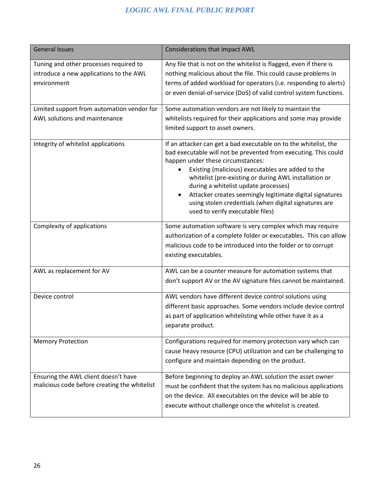| <b>General Issues</b>                                                                | Considerations that impact AWL                                                                                                                                                                                                                                                                                                                                                             |
|--------------------------------------------------------------------------------------|--------------------------------------------------------------------------------------------------------------------------------------------------------------------------------------------------------------------------------------------------------------------------------------------------------------------------------------------------------------------------------------------|
| Tuning and other processes required to                                               | Any file that is not on the whitelist is flagged, even if there is                                                                                                                                                                                                                                                                                                                         |
| introduce a new applications to the AWL                                              | nothing malicious about the file. This could cause problems in                                                                                                                                                                                                                                                                                                                             |
| environment                                                                          | terms of added workload for operators (i.e. responding to alerts)                                                                                                                                                                                                                                                                                                                          |
|                                                                                      | or even denial-of-service (DoS) of valid control system functions.                                                                                                                                                                                                                                                                                                                         |
| Limited support from automation vendor for                                           | Some automation vendors are not likely to maintain the                                                                                                                                                                                                                                                                                                                                     |
| AWL solutions and maintenance                                                        | whitelists required for their applications and some may provide                                                                                                                                                                                                                                                                                                                            |
|                                                                                      | limited support to asset owners.                                                                                                                                                                                                                                                                                                                                                           |
| Integrity of whitelist applications                                                  | If an attacker can get a bad executable on to the whitelist, the<br>bad executable will not be prevented from executing. This could<br>happen under these circumstances:<br>Existing (malicious) executables are added to the<br>whitelist (pre-existing or during AWL installation or<br>during a whitelist update processes)<br>Attacker creates seemingly legitimate digital signatures |
|                                                                                      | using stolen credentials (when digital signatures are<br>used to verify executable files)                                                                                                                                                                                                                                                                                                  |
| Complexity of applications                                                           | Some automation software is very complex which may require<br>authorization of a complete folder or executables. This can allow<br>malicious code to be introduced into the folder or to corrupt<br>existing executables.                                                                                                                                                                  |
| AWL as replacement for AV                                                            | AWL can be a counter measure for automation systems that<br>don't support AV or the AV signature files cannot be maintained.                                                                                                                                                                                                                                                               |
| Device control                                                                       | AWL vendors have different device control solutions using<br>different basic approaches. Some vendors include device control<br>as part of application whitelisting while other have it as a<br>separate product.                                                                                                                                                                          |
| <b>Memory Protection</b>                                                             | Configurations required for memory protection vary which can<br>cause heavy resource (CPU) utilization and can be challenging to<br>configure and maintain depending on the product.                                                                                                                                                                                                       |
| Ensuring the AWL client doesn't have<br>malicious code before creating the whitelist | Before beginning to deploy an AWL solution the asset owner<br>must be confident that the system has no malicious applications<br>on the device. All executables on the device will be able to<br>execute without challenge once the whitelist is created.                                                                                                                                  |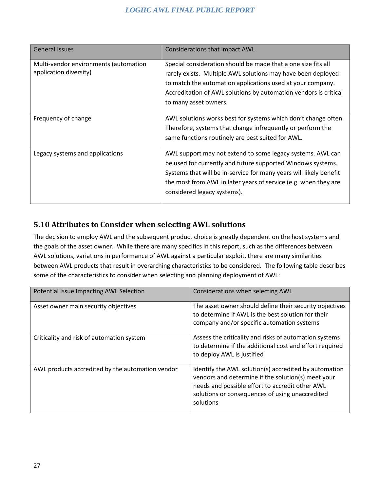| <b>General Issues</b>                                           | Considerations that impact AWL                                                                                                                                                                                                                                                                    |
|-----------------------------------------------------------------|---------------------------------------------------------------------------------------------------------------------------------------------------------------------------------------------------------------------------------------------------------------------------------------------------|
| Multi-vendor environments (automation<br>application diversity) | Special consideration should be made that a one size fits all<br>rarely exists. Multiple AWL solutions may have been deployed<br>to match the automation applications used at your company.<br>Accreditation of AWL solutions by automation vendors is critical<br>to many asset owners.          |
| Frequency of change                                             | AWL solutions works best for systems which don't change often.<br>Therefore, systems that change infrequently or perform the<br>same functions routinely are best suited for AWL.                                                                                                                 |
| Legacy systems and applications                                 | AWL support may not extend to some legacy systems. AWL can<br>be used for currently and future supported Windows systems.<br>Systems that will be in-service for many years will likely benefit<br>the most from AWL in later years of service (e.g. when they are<br>considered legacy systems). |

#### <span id="page-26-0"></span>**5.10 Attributes to Consider when selecting AWL solutions**

The decision to employ AWL and the subsequent product choice is greatly dependent on the host systems and the goals of the asset owner. While there are many specifics in this report, such as the differences between AWL solutions, variations in performance of AWL against a particular exploit, there are many similarities between AWL products that result in overarching characteristics to be considered. The following table describes some of the characteristics to consider when selecting and planning deployment of AWL:

| Potential Issue Impacting AWL Selection          | Considerations when selecting AWL                                                                                                                                                                                              |
|--------------------------------------------------|--------------------------------------------------------------------------------------------------------------------------------------------------------------------------------------------------------------------------------|
| Asset owner main security objectives             | The asset owner should define their security objectives<br>to determine if AWL is the best solution for their<br>company and/or specific automation systems                                                                    |
| Criticality and risk of automation system        | Assess the criticality and risks of automation systems<br>to determine if the additional cost and effort required<br>to deploy AWL is justified                                                                                |
| AWL products accredited by the automation vendor | Identify the AWL solution(s) accredited by automation<br>vendors and determine if the solution(s) meet your<br>needs and possible effort to accredit other AWL<br>solutions or consequences of using unaccredited<br>solutions |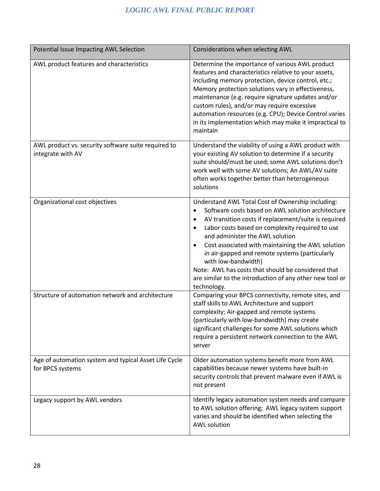| <b>Potential Issue Impacting AWL Selection</b>                            | Considerations when selecting AWL                                                                                                                                                                                                                                                                                                                                                                                                                                                                                                                                       |
|---------------------------------------------------------------------------|-------------------------------------------------------------------------------------------------------------------------------------------------------------------------------------------------------------------------------------------------------------------------------------------------------------------------------------------------------------------------------------------------------------------------------------------------------------------------------------------------------------------------------------------------------------------------|
| AWL product features and characteristics                                  | Determine the importance of various AWL product<br>features and characteristics relative to your assets,<br>including memory protection, device control, etc.;<br>Memory protection solutions vary in effectiveness,<br>maintenance (e.g. require signature updates and/or<br>custom rules), and/or may require excessive<br>automation resources (e.g. CPU); Device Control varies<br>in its implementation which may make it impractical to<br>maintain                                                                                                               |
| AWL product vs. security software suite required to<br>integrate with AV  | Understand the viability of using a AWL product with<br>your existing AV solution to determine if a security<br>suite should/must be used; some AWL solutions don't<br>work well with some AV solutions; An AWL/AV suite<br>often works together better than heterogeneous<br>solutions                                                                                                                                                                                                                                                                                 |
| Organizational cost objectives                                            | Understand AWL Total Cost of Ownership including:<br>Software costs based on AWL solution architecture<br>$\bullet$<br>AV transition costs if replacement/suite is required<br>$\bullet$<br>Labor costs based on complexity required to use<br>$\bullet$<br>and administer the AWL solution<br>Cost associated with maintaining the AWL solution<br>$\bullet$<br>in air-gapped and remote systems (particularly<br>with low-bandwidth)<br>Note: AWL has costs that should be considered that<br>are similar to the introduction of any other new tool or<br>technology. |
| Structure of automation network and architecture                          | Comparing your BPCS connectivity, remote sites, and<br>staff skills to AWL Architecture and support<br>complexity; Air-gapped and remote systems<br>(particularly with low-bandwidth) may create<br>significant challenges for some AWL solutions which<br>require a persistent network connection to the AWL<br>server                                                                                                                                                                                                                                                 |
| Age of automation system and typical Asset Life Cycle<br>for BPCS systems | Older automation systems benefit more from AWL<br>capabilities because newer systems have built-in<br>security controls that prevent malware even if AWL is<br>not present                                                                                                                                                                                                                                                                                                                                                                                              |
| Legacy support by AWL vendors                                             | Identify legacy automation system needs and compare<br>to AWL solution offering; AWL legacy system support<br>varies and should be identified when selecting the<br><b>AWL solution</b>                                                                                                                                                                                                                                                                                                                                                                                 |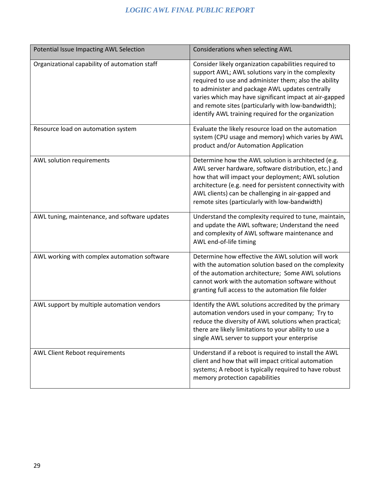| Potential Issue Impacting AWL Selection       | Considerations when selecting AWL                                                                                                                                                                                                                                                                                                                                                              |
|-----------------------------------------------|------------------------------------------------------------------------------------------------------------------------------------------------------------------------------------------------------------------------------------------------------------------------------------------------------------------------------------------------------------------------------------------------|
| Organizational capability of automation staff | Consider likely organization capabilities required to<br>support AWL; AWL solutions vary in the complexity<br>required to use and administer them; also the ability<br>to administer and package AWL updates centrally<br>varies which may have significant impact at air-gapped<br>and remote sites (particularly with low-bandwidth);<br>identify AWL training required for the organization |
| Resource load on automation system            | Evaluate the likely resource load on the automation<br>system (CPU usage and memory) which varies by AWL<br>product and/or Automation Application                                                                                                                                                                                                                                              |
| AWL solution requirements                     | Determine how the AWL solution is architected (e.g.<br>AWL server hardware, software distribution, etc.) and<br>how that will impact your deployment; AWL solution<br>architecture (e.g. need for persistent connectivity with<br>AWL clients) can be challenging in air-gapped and<br>remote sites (particularly with low-bandwidth)                                                          |
| AWL tuning, maintenance, and software updates | Understand the complexity required to tune, maintain,<br>and update the AWL software; Understand the need<br>and complexity of AWL software maintenance and<br>AWL end-of-life timing                                                                                                                                                                                                          |
| AWL working with complex automation software  | Determine how effective the AWL solution will work<br>with the automation solution based on the complexity<br>of the automation architecture; Some AWL solutions<br>cannot work with the automation software without<br>granting full access to the automation file folder                                                                                                                     |
| AWL support by multiple automation vendors    | Identify the AWL solutions accredited by the primary<br>automation vendors used in your company; Try to<br>reduce the diversity of AWL solutions when practical;<br>there are likely limitations to your ability to use a<br>single AWL server to support your enterprise                                                                                                                      |
| AWL Client Reboot requirements                | Understand if a reboot is required to install the AWL<br>client and how that will impact critical automation<br>systems; A reboot is typically required to have robust<br>memory protection capabilities                                                                                                                                                                                       |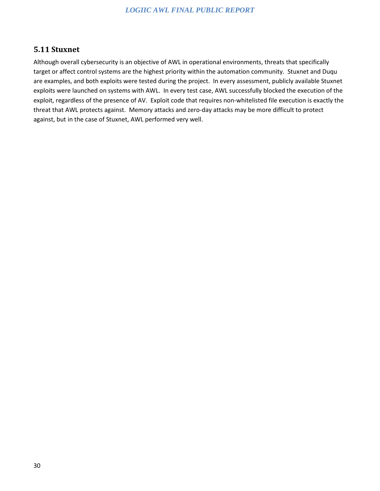#### <span id="page-29-0"></span>**5.11 Stuxnet**

Although overall cybersecurity is an objective of AWL in operational environments, threats that specifically target or affect control systems are the highest priority within the automation community. Stuxnet and Duqu are examples, and both exploits were tested during the project. In every assessment, publicly available Stuxnet exploits were launched on systems with AWL. In every test case, AWL successfully blocked the execution of the exploit, regardless of the presence of AV. Exploit code that requires non-whitelisted file execution is exactly the threat that AWL protects against. Memory attacks and zero-day attacks may be more difficult to protect against, but in the case of Stuxnet, AWL performed very well.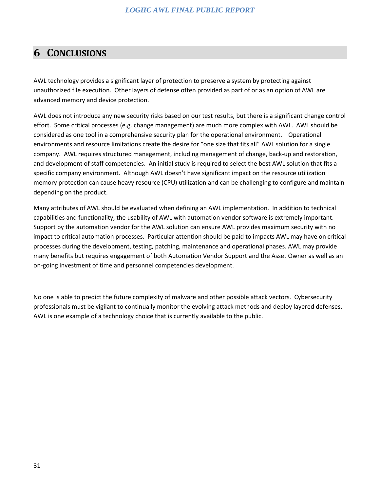## <span id="page-30-0"></span>**6 CONCLUSIONS**

AWL technology provides a significant layer of protection to preserve a system by protecting against unauthorized file execution. Other layers of defense often provided as part of or as an option of AWL are advanced memory and device protection.

AWL does not introduce any new security risks based on our test results, but there is a significant change control effort. Some critical processes (e.g. change management) are much more complex with AWL. AWL should be considered as one tool in a comprehensive security plan for the operational environment. Operational environments and resource limitations create the desire for "one size that fits all" AWL solution for a single company. AWL requires structured management, including management of change, back-up and restoration, and development of staff competencies. An initial study is required to select the best AWL solution that fits a specific company environment. Although AWL doesn't have significant impact on the resource utilization memory protection can cause heavy resource (CPU) utilization and can be challenging to configure and maintain depending on the product.

Many attributes of AWL should be evaluated when defining an AWL implementation. In addition to technical capabilities and functionality, the usability of AWL with automation vendor software is extremely important. Support by the automation vendor for the AWL solution can ensure AWL provides maximum security with no impact to critical automation processes. Particular attention should be paid to impacts AWL may have on critical processes during the development, testing, patching, maintenance and operational phases. AWL may provide many benefits but requires engagement of both Automation Vendor Support and the Asset Owner as well as an on-going investment of time and personnel competencies development.

No one is able to predict the future complexity of malware and other possible attack vectors. Cybersecurity professionals must be vigilant to continually monitor the evolving attack methods and deploy layered defenses. AWL is one example of a technology choice that is currently available to the public.